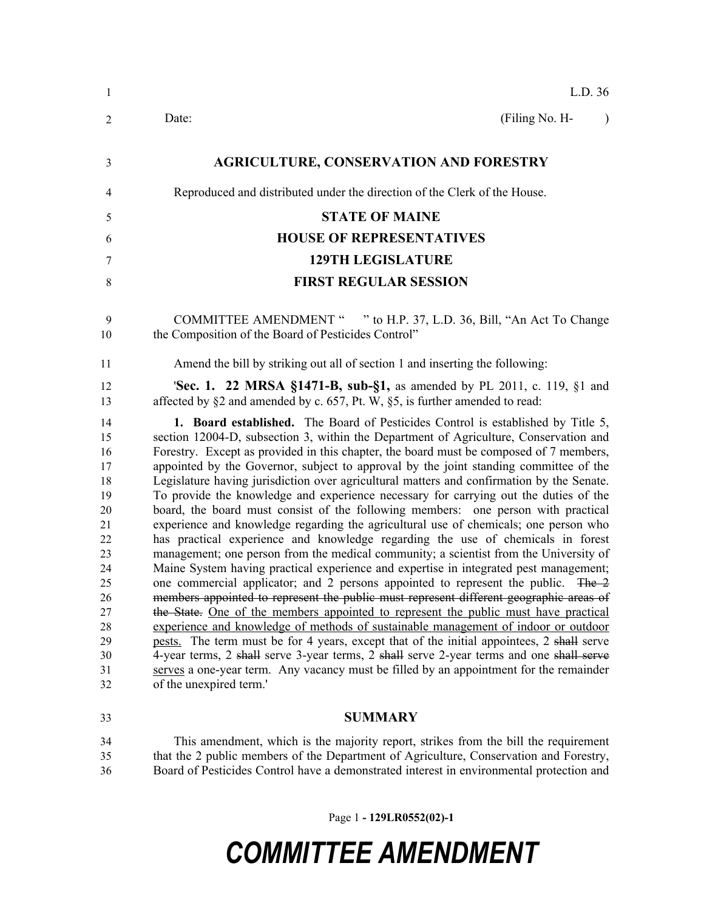| $\mathbf{1}$ | L.D. 36                                                                                                                                                                            |
|--------------|------------------------------------------------------------------------------------------------------------------------------------------------------------------------------------|
| 2            | (Filing No. H-<br>Date:<br>$\lambda$                                                                                                                                               |
| 3            | <b>AGRICULTURE, CONSERVATION AND FORESTRY</b>                                                                                                                                      |
| 4            | Reproduced and distributed under the direction of the Clerk of the House.                                                                                                          |
| 5            | <b>STATE OF MAINE</b>                                                                                                                                                              |
| 6            | <b>HOUSE OF REPRESENTATIVES</b>                                                                                                                                                    |
| 7            | <b>129TH LEGISLATURE</b>                                                                                                                                                           |
| 8            | <b>FIRST REGULAR SESSION</b>                                                                                                                                                       |
| 9<br>10      | COMMITTEE AMENDMENT " " to H.P. 37, L.D. 36, Bill, "An Act To Change<br>the Composition of the Board of Pesticides Control"                                                        |
| 11           | Amend the bill by striking out all of section 1 and inserting the following:                                                                                                       |
| 12<br>13     | <b>Sec. 1. 22 MRSA §1471-B, sub-§1,</b> as amended by PL 2011, c. 119, §1 and<br>affected by §2 and amended by c. 657, Pt. W, §5, is further amended to read:                      |
| 14           | <b>1. Board established.</b> The Board of Pesticides Control is established by Title 5,                                                                                            |
| 15           | section 12004-D, subsection 3, within the Department of Agriculture, Conservation and                                                                                              |
| 16<br>17     | Forestry. Except as provided in this chapter, the board must be composed of 7 members,<br>appointed by the Governor, subject to approval by the joint standing committee of the    |
| 18           | Legislature having jurisdiction over agricultural matters and confirmation by the Senate.                                                                                          |
| 19           | To provide the knowledge and experience necessary for carrying out the duties of the                                                                                               |
| 20           | board, the board must consist of the following members: one person with practical                                                                                                  |
| 21           | experience and knowledge regarding the agricultural use of chemicals; one person who                                                                                               |
| 22<br>23     | has practical experience and knowledge regarding the use of chemicals in forest<br>management; one person from the medical community; a scientist from the University of           |
| 24           | Maine System having practical experience and expertise in integrated pest management;                                                                                              |
| 25           | one commercial applicator; and 2 persons appointed to represent the public. The 2                                                                                                  |
| 26           | members appointed to represent the public must represent different geographic areas of                                                                                             |
| 27           | the State. One of the members appointed to represent the public must have practical                                                                                                |
| 28           | experience and knowledge of methods of sustainable management of indoor or outdoor                                                                                                 |
| 29           | pests. The term must be for 4 years, except that of the initial appointees, 2 shall serve                                                                                          |
| 30<br>31     | 4-year terms, 2 shall serve 3-year terms, 2 shall serve 2-year terms and one shall serve<br>serves a one-year term. Any vacancy must be filled by an appointment for the remainder |
| 32           | of the unexpired term.'                                                                                                                                                            |
| 33           | <b>SUMMARY</b>                                                                                                                                                                     |
| 34           | This amendment, which is the majority report, strikes from the bill the requirement                                                                                                |
| 35           | that the 2 public members of the Department of Agriculture, Conservation and Forestry,                                                                                             |
| 36           | Board of Pesticides Control have a demonstrated interest in environmental protection and                                                                                           |

Page 1 **- 129LR0552(02)-1**

## *COMMITTEE AMENDMENT*